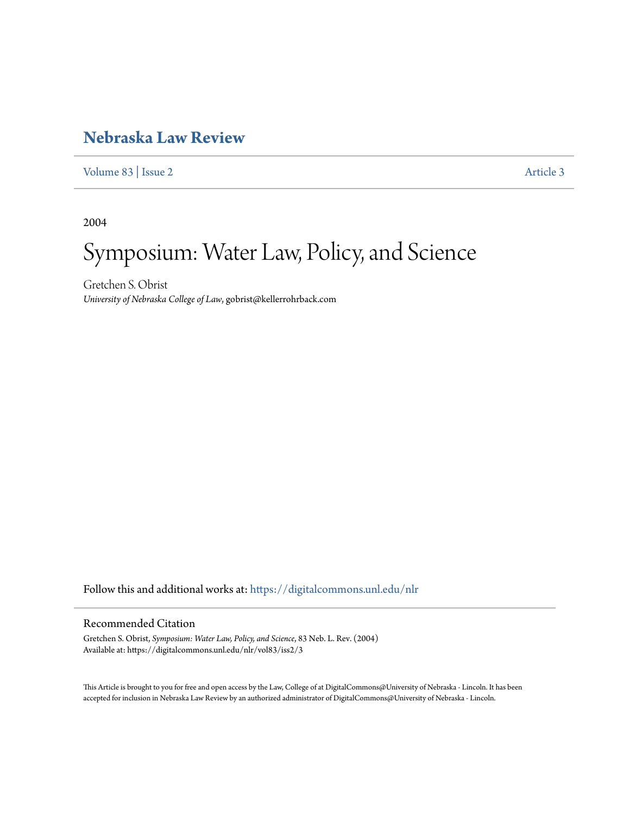## **[Nebraska Law Review](https://digitalcommons.unl.edu/nlr?utm_source=digitalcommons.unl.edu%2Fnlr%2Fvol83%2Fiss2%2F3&utm_medium=PDF&utm_campaign=PDFCoverPages)**

[Volume 83](https://digitalcommons.unl.edu/nlr/vol83?utm_source=digitalcommons.unl.edu%2Fnlr%2Fvol83%2Fiss2%2F3&utm_medium=PDF&utm_campaign=PDFCoverPages) | [Issue 2](https://digitalcommons.unl.edu/nlr/vol83/iss2?utm_source=digitalcommons.unl.edu%2Fnlr%2Fvol83%2Fiss2%2F3&utm_medium=PDF&utm_campaign=PDFCoverPages) [Article 3](https://digitalcommons.unl.edu/nlr/vol83/iss2/3?utm_source=digitalcommons.unl.edu%2Fnlr%2Fvol83%2Fiss2%2F3&utm_medium=PDF&utm_campaign=PDFCoverPages)

2004

## Symposium: Water Law, Policy, and Science

Gretchen S. Obrist *University of Nebraska College of Law*, gobrist@kellerrohrback.com

Follow this and additional works at: [https://digitalcommons.unl.edu/nlr](https://digitalcommons.unl.edu/nlr?utm_source=digitalcommons.unl.edu%2Fnlr%2Fvol83%2Fiss2%2F3&utm_medium=PDF&utm_campaign=PDFCoverPages)

## Recommended Citation

Gretchen S. Obrist, *Symposium: Water Law, Policy, and Science*, 83 Neb. L. Rev. (2004) Available at: https://digitalcommons.unl.edu/nlr/vol83/iss2/3

This Article is brought to you for free and open access by the Law, College of at DigitalCommons@University of Nebraska - Lincoln. It has been accepted for inclusion in Nebraska Law Review by an authorized administrator of DigitalCommons@University of Nebraska - Lincoln.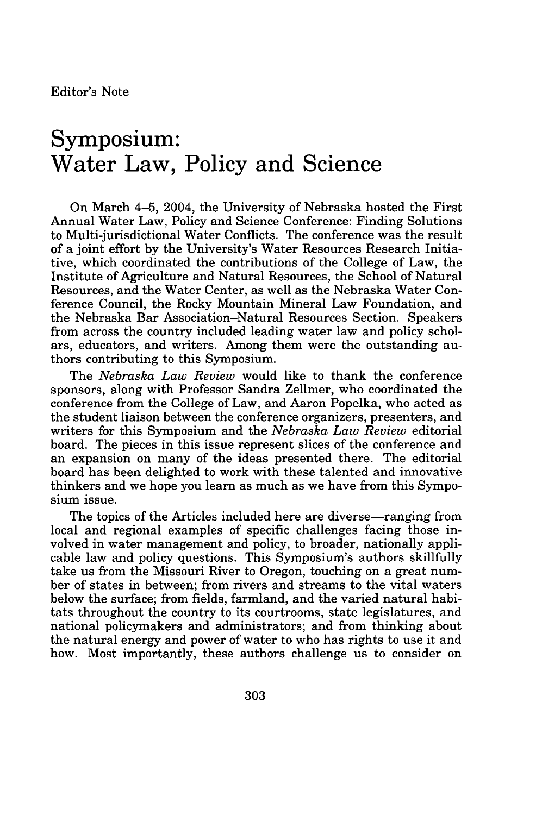## **Symposium: Water Law, Policy and Science**

On March 4-5, 2004, the University of Nebraska hosted the First Annual Water Law, Policy and Science Conference: Finding Solutions to Multi-jurisdictional Water Conflicts. The conference was the result of a joint effort by the University's Water Resources Research Initiative, which coordinated the contributions of the College of Law, the Institute of Agriculture and Natural Resources, the School of Natural Resources, and the Water Center, as well as the Nebraska Water Conference Council, the Rocky Mountain Mineral Law Foundation, and the Nebraska Bar Association-Natural Resources Section. Speakers from across the country included leading water law and policy scholars, educators, and writers. Among them were the outstanding authors contributing to this Symposium.

The *Nebraska Law Review* would like to thank the conference sponsors, along with Professor Sandra Zellmer, who coordinated the conference from the College of Law, and Aaron Popelka, who acted as the student liaison between the conference organizers, presenters, and writers for this Symposium and the *Nebraska Law Review* editorial board. The pieces in this issue represent slices of the conference and an expansion on many of the ideas presented there. The editorial board has been delighted to work with these talented and innovative thinkers and we hope you learn as much as we have from this Symposium issue.

The topics of the Articles included here are diverse—ranging from local and regional examples of specific challenges facing those involved in water management and policy, to broader, nationally applicable law and policy questions. This Symposium's authors skillfully take us from the Missouri River to Oregon, touching on a great number of states in between; from rivers and streams to the vital waters below the surface; from fields, farmland, and the varied natural habitats throughout the country to its courtrooms, state legislatures, and national policymakers and administrators; and from thinking about the natural energy and power of water to who has rights to use it and how. Most importantly, these authors challenge us to consider on